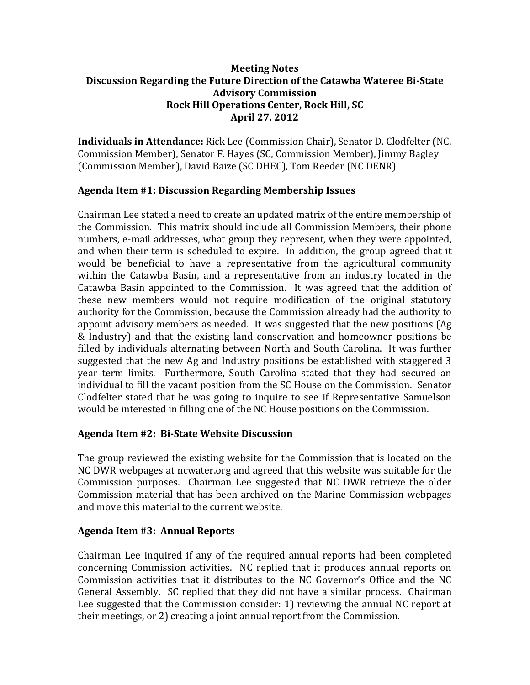## **Meeting Notes Discussion Regarding the Future Direction of the Catawba Wateree Bi‐State Advisory Commission Rock Hill Operations Center, Rock Hill, SC April 27, 2012**

**Individuals in Attendance:** Rick Lee (Commission Chair), Senator D. Clodfelter (NC, Commission Member), Senator F. Hayes (SC, Commission Member), Jimmy Bagley (Commission Member), David Baize (SC DHEC), Tom Reeder (NC DENR)

# **Agenda Item #1: Discussion Regarding Membership Issues**

Chairman Lee stated a need to create an updated matrix of the entire membership of the Commission. This matrix should include all Commission Members, their phone numbers, e-mail addresses, what group they represent, when they were appointed, and when their term is scheduled to expire. In addition, the group agreed that it would be beneficial to have a representative from the agricultural community within the Catawba Basin, and a representative from an industry located in the Catawba Basin appointed to the Commission. It was agreed that the addition of these new members would not require modification of the original statutory authority for the Commission, because the Commission already had the authority to appoint advisory members as needed. It was suggested that the new positions (Ag & Industry) and that the existing land conservation and homeowner positions be filled by individuals alternating between North and South Carolina. It was further suggested that the new Ag and Industry positions be established with staggered 3 year term limits. Furthermore, South Carolina stated that they had secured an individual to fill the vacant position from the SC House on the Commission. Senator Clodfelter stated that he was going to inquire to see if Representative Samuelson would be interested in filling one of the NC House positions on the Commission.

### **Agenda Item #2: Bi‐State Website Discussion**

The group reviewed the existing website for the Commission that is located on the NC DWR webpages at ncwater.org and agreed that this website was suitable for the Commission purposes. Chairman Lee suggested that NC DWR retrieve the older Commission material that has been archived on the Marine Commission webpages and move this material to the current website.

# **Agenda Item #3: Annual Reports**

Chairman Lee inquired if any of the required annual reports had been completed concerning Commission activities. NC replied that it produces annual reports on Commission activities that it distributes to the NC Governor's Office and the NC General Assembly. SC replied that they did not have a similar process. Chairman Lee suggested that the Commission consider: 1) reviewing the annual NC report at their meetings, or 2) creating a joint annual report from the Commission.